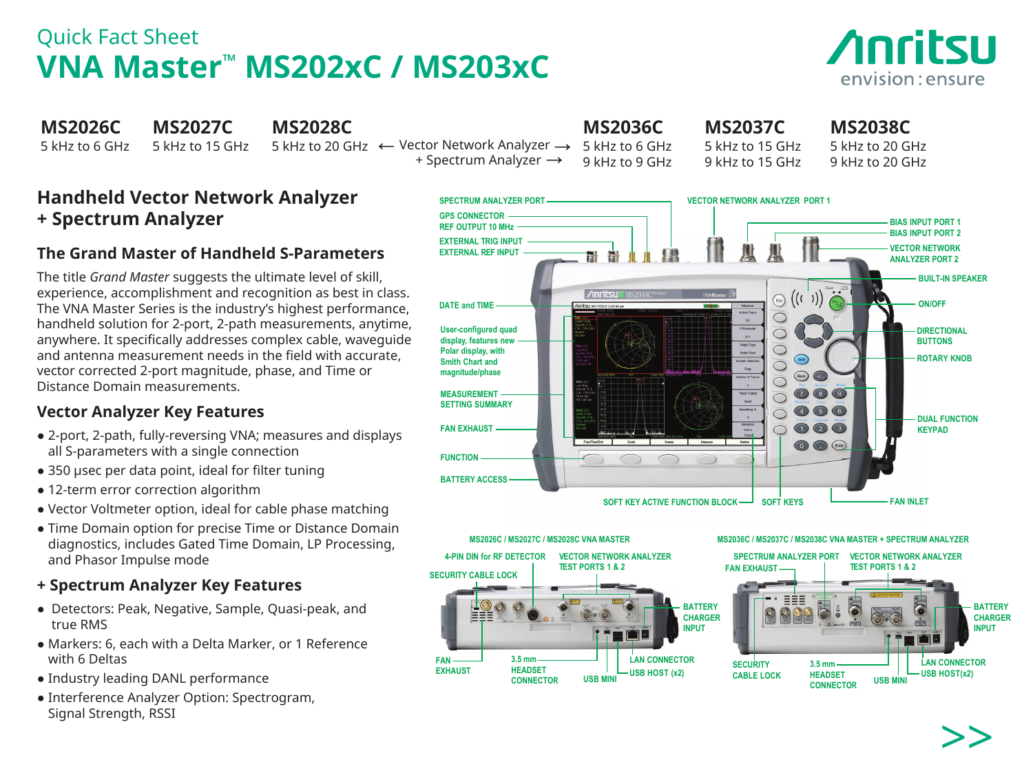### Quick Fact Sheet **VNA Master™ MS202xC / MS203xC**



| <b>MS2026C</b><br><b>MS2027C</b><br><b>MS2028C</b><br>5 kHz to 6 GHz<br>5 kHz to 15 GHz                                                                                                                                                                                                                                                                                                                                                                                            | <b>MS2036C</b><br>5 kHz to 20 GHz ← Vector Network Analyzer →<br>5 kHz to 6 GHz<br>+ Spectrum Analyzer $\rightarrow$<br>9 kHz to 9 GHz                                                           | <b>MS2037C</b><br>5 kHz to 15 GHz<br>9 kHz to 15 GHz                                                                                        | <b>MS2038C</b><br>5 kHz to 20 GHz<br>9 kHz to 20 GHz                                                    |
|------------------------------------------------------------------------------------------------------------------------------------------------------------------------------------------------------------------------------------------------------------------------------------------------------------------------------------------------------------------------------------------------------------------------------------------------------------------------------------|--------------------------------------------------------------------------------------------------------------------------------------------------------------------------------------------------|---------------------------------------------------------------------------------------------------------------------------------------------|---------------------------------------------------------------------------------------------------------|
| <b>Handheld Vector Network Analyzer</b><br><b>+ Spectrum Analyzer</b><br>The Grand Master of Handheld S-Parameters                                                                                                                                                                                                                                                                                                                                                                 | <b>SPECTRUM ANALYZER PORT</b><br><b>GPS CONNECTOR</b><br><b>REF OUTPUT 10 MHz</b><br><b>EXTERNAL TRIG INPUT</b><br><b>EXTERNAL REF INPUT</b><br>H H                                              | <b>VECTOR NETWORK ANALYZER PORT 1</b>                                                                                                       | <b>BIAS INPUT PORT 1</b><br><b>BIAS INPUT PORT 2</b><br><b>VECTOR NETWORK</b><br><b>ANALYZER PORT 2</b> |
| The title Grand Master suggests the ultimate level of skill,<br>experience, accomplishment and recognition as best in class.<br>The VNA Master Series is the industry's highest performance,<br>handheld solution for 2-port, 2-path measurements, anytime,<br>anywhere. It specifically addresses complex cable, waveguide<br>and antenna measurement needs in the field with accurate,<br>vector corrected 2-port magnitude, phase, and Time or<br>Distance Domain measurements. | <b>Anritsu</b> MS2038C<br><b>DATE and TIME</b><br><b>User-configured quad</b><br>display, features new<br>Polar display, with<br><b>Smith Chart and</b><br>magnitude/phase<br><b>MEASUREMENT</b> | $\bigodot$<br>Active Trace<br><b>S Parameter</b><br>Graph Type<br>$\bigodot$ Back $\bigodot$ $\bigodot$<br>Number of Traces<br>Trace Format | <b>BUILT-IN SPEAKER</b><br><b>ON/OFF</b><br><b>DIRECTIONAL</b><br><b>BUTTONS</b><br><b>ROTARY KNOB</b>  |
| <b>Vector Analyzer Key Features</b><br>• 2-port, 2-path, fully-reversing VNA; measures and displays<br>all S-parameters with a single connection<br>• 350 usec per data point, ideal for filter tuning                                                                                                                                                                                                                                                                             | <b>SETTING SUMMARY</b><br><b>FAN EXHAUST</b><br><b>FUNCTION</b><br><b>BATTERY ACCESS</b>                                                                                                         | Smoothing %<br>$\circled{4}$<br>Measure                                                                                                     | (5)(6)<br><b>DUAL FUNCTION</b><br>$\bigcirc$ $\bigcirc$ $\bigcirc$<br><b>KEYPAD</b><br>O C Enter        |
| • 12-term error correction algorithm<br>$\mathcal{M}$ and $\mathcal{M}$ and $\mathcal{M}$ are the set of the set of the set of $\mathcal{C}$ are set of the set of the set of the set of the set of the set of the set of the set of the set of the set of the set of the set of the set                                                                                                                                                                                           |                                                                                                                                                                                                  | SOFT KEY ACTIVE FUNCTION BLOCK-<br><b>SOFT KEYS</b>                                                                                         | <b>FAN INLET</b>                                                                                        |



# >>

## **+ Spectrum Analyzer**

### **The Grand Master of Handheld S-Parameters**

### **Vector Analyzer Key Features**

- 2-port, 2-path, fully-reversing VNA; measures and displays
- 
- 
- Vector Voltmeter option, ideal for cable phase matching
- Time Domain option for precise Time or Distance Domain diagnostics, includes Gated Time Domain, LP Processing, and Phasor Impulse mode

### **+ Spectrum Analyzer Key Features**

- Detectors: Peak, Negative, Sample, Quasi-peak, and true RMS
- Markers: 6, each with a Delta Marker, or 1 Reference with 6 Deltas
- Industry leading DANL performance
- Interference Analyzer Option: Spectrogram, Signal Strength, RSSI